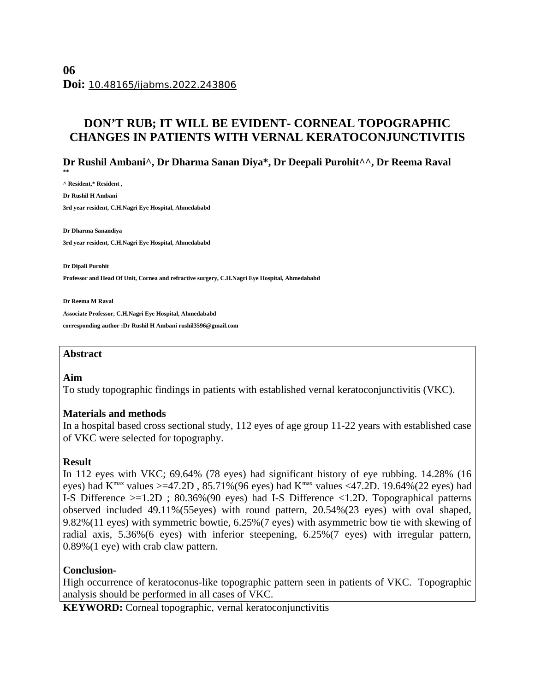# **DON'T RUB; IT WILL BE EVIDENT- CORNEAL TOPOGRAPHIC CHANGES IN PATIENTS WITH VERNAL KERATOCONJUNCTIVITIS**

# **Dr Rushil Ambani^, Dr Dharma Sanan Diya\*, Dr Deepali Purohit^^, Dr Reema Raval**

**^ Resident,\* Resident , Dr Rushil H Ambani 3rd year resident, C.H.Nagri Eye Hospital, Ahmedababd** 

**Dr Dharma Sanandiya 3rd year resident, C.H.Nagri Eye Hospital, Ahmedababd**

**Dr Dipali Purohit Professor and Head Of Unit, Cornea and refractive surgery, C.H.Nagri Eye Hospital, Ahmedababd**

**Dr Reema M Raval Associate Professor, C.H.Nagri Eye Hospital, Ahmedababd corresponding author :Dr Rushil H Ambani rushil3596@gmail.com** 

#### **Abstract**

#### **Aim**

**\*\***

To study topographic findings in patients with established vernal keratoconjunctivitis (VKC).

#### **Materials and methods**

In a hospital based cross sectional study, 112 eyes of age group 11-22 years with established case of VKC were selected for topography.

## **Result**

In 112 eyes with VKC; 69.64% (78 eyes) had significant history of eye rubbing. 14.28% (16 eyes) had K<sup>max</sup> values >=47.2D, 85.71%(96 eyes) had K<sup>max</sup> values <47.2D. 19.64%(22 eyes) had I-S Difference >=1.2D ; 80.36%(90 eyes) had I-S Difference <1.2D. Topographical patterns observed included 49.11%(55eyes) with round pattern, 20.54%(23 eyes) with oval shaped, 9.82%(11 eyes) with symmetric bowtie, 6.25%(7 eyes) with asymmetric bow tie with skewing of radial axis, 5.36%(6 eyes) with inferior steepening, 6.25%(7 eyes) with irregular pattern, 0.89%(1 eye) with crab claw pattern.

## **Conclusion-**

High occurrence of keratoconus-like topographic pattern seen in patients of VKC. Topographic analysis should be performed in all cases of VKC.

**KEYWORD:** Corneal topographic, vernal keratoconjunctivitis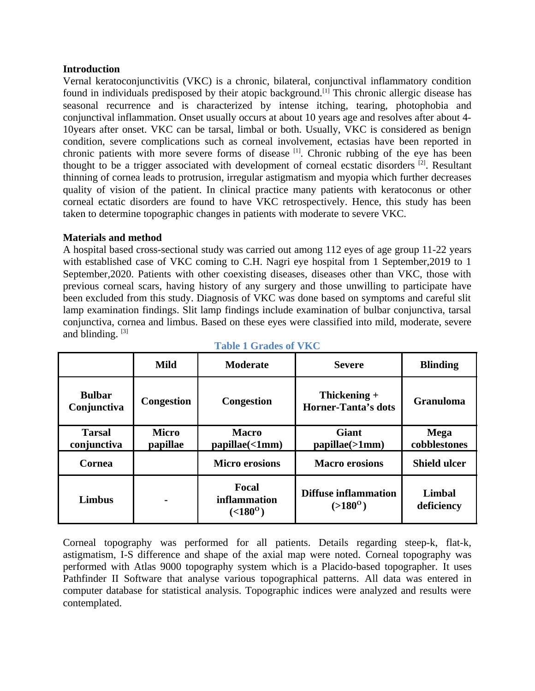### **Introduction**

Vernal keratoconjunctivitis (VKC) is a chronic, bilateral, conjunctival inflammatory condition found in individuals predisposed by their atopic background.<sup>[1]</sup> This chronic allergic disease has seasonal recurrence and is characterized by intense itching, tearing, photophobia and conjunctival inflammation. Onset usually occurs at about 10 years age and resolves after about 4- 10years after onset. VKC can be tarsal, limbal or both. Usually, VKC is considered as benign condition, severe complications such as corneal involvement, ectasias have been reported in chronic patients with more severe forms of disease  $[1]$ . Chronic rubbing of the eye has been thought to be a trigger associated with development of corneal ecstatic disorders  $[2]$ . Resultant thinning of cornea leads to protrusion, irregular astigmatism and myopia which further decreases quality of vision of the patient. In clinical practice many patients with keratoconus or other corneal ectatic disorders are found to have VKC retrospectively. Hence, this study has been taken to determine topographic changes in patients with moderate to severe VKC.

## **Materials and method**

A hospital based cross-sectional study was carried out among 112 eyes of age group 11-22 years with established case of VKC coming to C.H. Nagri eye hospital from 1 September,2019 to 1 September,2020. Patients with other coexisting diseases, diseases other than VKC, those with previous corneal scars, having history of any surgery and those unwilling to participate have been excluded from this study. Diagnosis of VKC was done based on symptoms and careful slit lamp examination findings. Slit lamp findings include examination of bulbar conjunctiva, tarsal conjunctiva, cornea and limbus. Based on these eyes were classified into mild, moderate, severe and blinding.  $[3]$ 

|                              | Mild                     | <b>Moderate</b>                             | <b>Severe</b>                                   | <b>Blinding</b>             |
|------------------------------|--------------------------|---------------------------------------------|-------------------------------------------------|-----------------------------|
| <b>Bulbar</b><br>Conjunctiva | <b>Congestion</b>        | <b>Congestion</b>                           | Thickening +<br><b>Horner-Tanta's dots</b>      | <b>Granuloma</b>            |
| Tarsal<br>conjunctiva        | <b>Micro</b><br>papillae | <b>Macro</b><br>papillae(<1mm)              | <b>Giant</b><br>papillae(>1mm)                  | Mega<br>cobblestones        |
| Cornea                       |                          | <b>Micro erosions</b>                       | <b>Macro erosions</b>                           | <b>Shield ulcer</b>         |
| <b>Limbus</b>                |                          | Focal<br>inflammation<br>$( < 180^{\circ})$ | <b>Diffuse inflammation</b><br>$(>180^{\circ})$ | <b>Limbal</b><br>deficiency |

**Table 1 Grades of VKC**

Corneal topography was performed for all patients. Details regarding steep-k, flat-k, astigmatism, I-S difference and shape of the axial map were noted. Corneal topography was performed with Atlas 9000 topography system which is a Placido-based topographer. It uses Pathfinder II Software that analyse various topographical patterns. All data was entered in computer database for statistical analysis. Topographic indices were analyzed and results were contemplated.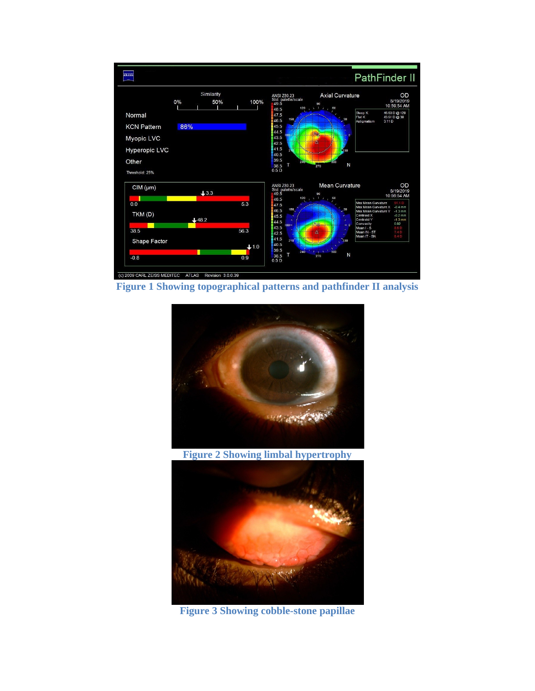

**Figure 1 Showing topographical patterns and pathfinder II analysis**



**Figure 2 Showing limbal hypertrophy**



**Figure 3 Showing cobble-stone papillae**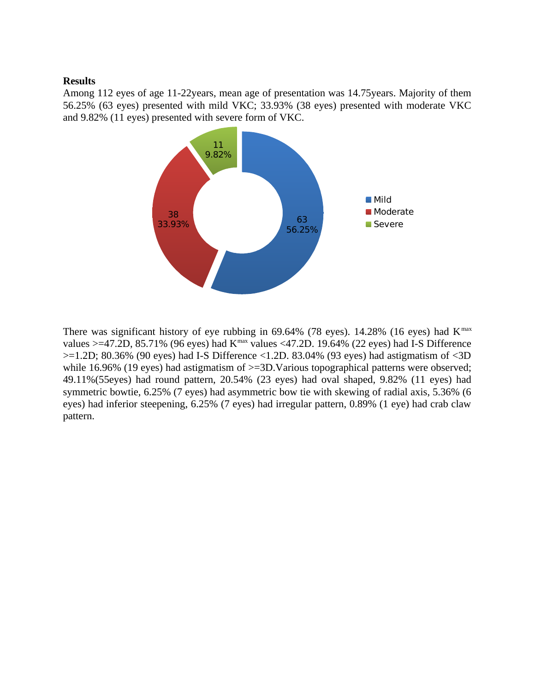#### **Results**

Among 112 eyes of age 11-22years, mean age of presentation was 14.75years. Majority of them 56.25% (63 eyes) presented with mild VKC; 33.93% (38 eyes) presented with moderate VKC and 9.82% (11 eyes) presented with severe form of VKC.



There was significant history of eye rubbing in  $69.64\%$  (78 eyes). 14.28% (16 eyes) had K<sup>max</sup> values >=47.2D, 85.71% (96 eyes) had K<sup>max</sup> values <47.2D. 19.64% (22 eyes) had I-S Difference  $>=$ 1.2D; 80.36% (90 eyes) had I-S Difference  $\le$ 1.2D. 83.04% (93 eyes) had astigmatism of  $\le$ 3D while 16.96% (19 eyes) had astigmatism of  $>=3D.V$ arious topographical patterns were observed; 49.11%(55eyes) had round pattern, 20.54% (23 eyes) had oval shaped, 9.82% (11 eyes) had symmetric bowtie, 6.25% (7 eyes) had asymmetric bow tie with skewing of radial axis, 5.36% (6 eyes) had inferior steepening, 6.25% (7 eyes) had irregular pattern, 0.89% (1 eye) had crab claw pattern.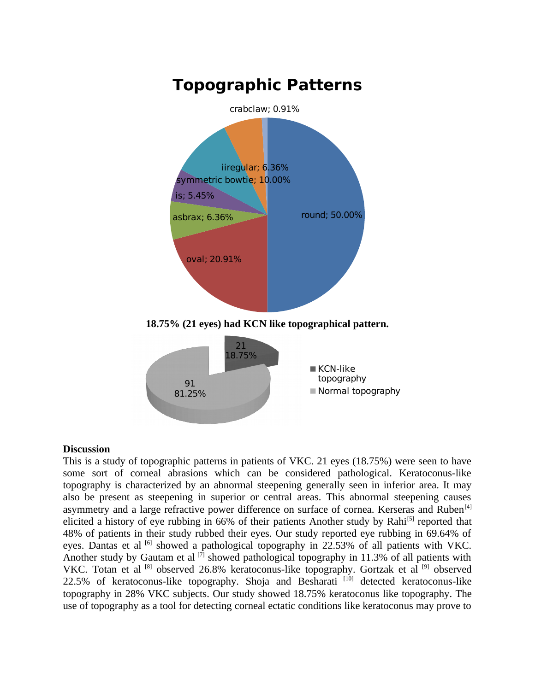

#### **Discussion**

This is a study of topographic patterns in patients of VKC. 21 eyes (18.75%) were seen to have some sort of corneal abrasions which can be considered pathological. Keratoconus-like topography is characterized by an abnormal steepening generally seen in inferior area. It may also be present as steepening in superior or central areas. This abnormal steepening causes asymmetry and a large refractive power difference on surface of cornea. Kerseras and Ruben<sup>[4]</sup> elicited a history of eye rubbing in 66% of their patients Another study by Rahi<sup>[5]</sup> reported that 48% of patients in their study rubbed their eyes. Our study reported eye rubbing in 69.64% of eyes. Dantas et al  $^{[6]}$  showed a pathological topography in 22.53% of all patients with VKC. Another study by Gautam et al  $[7]$  showed pathological topography in 11.3% of all patients with VKC. Totan et al <a>[8]</a> observed 26.8% keratoconus-like topography. Gortzak et al<br/> <a>[9]</a> observed 22.5% of keratoconus-like topography. Shoja and Besharati  $[10]$  detected keratoconus-like topography in 28% VKC subjects. Our study showed 18.75% keratoconus like topography. The use of topography as a tool for detecting corneal ectatic conditions like keratoconus may prove to